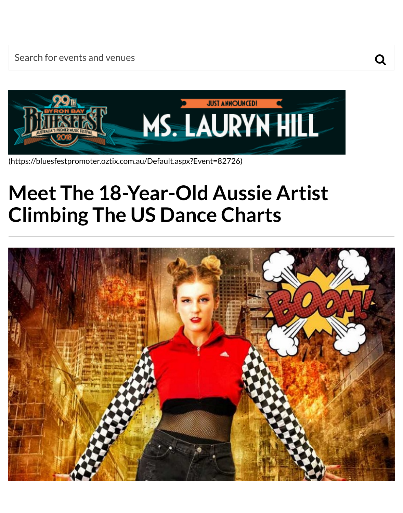

(https://bluesfestpromoter.oztix.com.au/Default.aspx?Event=82726)

# **[Meet The 18-Year-Old Aussie Artist](https://bluesfestpromoter.oztix.com.au/Default.aspx?Event=82726) Climbing The US Dance Charts**

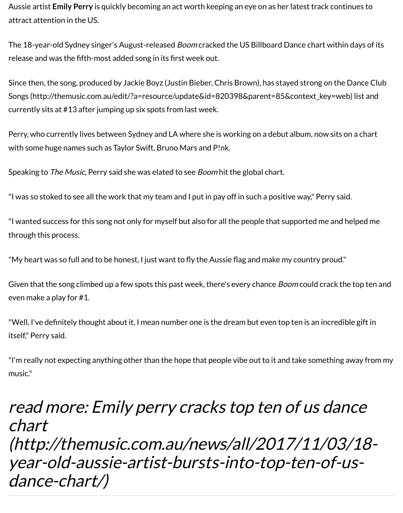Since then, the song, produced by Jackie Boyz (Justin Bieber, Chris Brown), has stayed strong on the Songs (http://themusic.com.au/edit/?a=resource/update&id=820398&parent=85&context\_key=w currently sits at #13 after jumping up six spots from last week.

Perry, who currently lives between Sydney and LA where she is working on a debut album, now sits [with some huge names such as Taylor Swift, Bruno Mars and P!nk.](http://themusic.com.au/edit/?a=resource/update&id=820398&parent=85&context_key=web)

Speaking to *The Music*, Perry said she was elated to see *Boom* hit the global chart.

"I was so stoked to see all the work that my team and I put in pay off in such a positive way," Perry saing."

"I wanted success for this song not only for myself but also for all the people that supported me and through this process.

"My heart was so full and to be honest, I just want to fly the Aussie flag and make my country proud."

Given that the song climbed up a few spots this past week, there's every chance Boom could crack t even make a play for #1.

"Well, I've definitely thought about it, I mean number one is the dream but even top ten is an incred itself," Perry said.

"I'm really not expecting anything other than the hope that people vibe out to it and take something music."

# read more: Emily perry cracks top ten of us da chart

(http://themusic.com.au/news/all/2017/11/03 [year](http://themusic.com.au/news/all/2017/11/03/18-year-old-aussie-artist-bursts-into-top-ten-of-us-dance-chart/)-[old](http://themusic.com.au/news/all/2017/11/03/18-year-old-aussie-artist-bursts-into-top-ten-of-us-dance-chart/)-[aussie](http://themusic.com.au/news/all/2017/11/03/18-year-old-aussie-artist-bursts-into-top-ten-of-us-dance-chart/)-[artist](http://themusic.com.au/news/all/2017/11/03/18-year-old-aussie-artist-bursts-into-top-ten-of-us-dance-chart/)-[bursts](http://themusic.com.au/news/all/2017/11/03/18-year-old-aussie-artist-bursts-into-top-ten-of-us-dance-chart/)-[into](http://themusic.com.au/news/all/2017/11/03/18-year-old-aussie-artist-bursts-into-top-ten-of-us-dance-chart/)-[top](http://themusic.com.au/news/all/2017/11/03/18-year-old-aussie-artist-bursts-into-top-ten-of-us-dance-chart/)-[ten](http://themusic.com.au/news/all/2017/11/03/18-year-old-aussie-artist-bursts-into-top-ten-of-us-dance-chart/)-[of](http://themusic.com.au/news/all/2017/11/03/18-year-old-aussie-artist-bursts-into-top-ten-of-us-dance-chart/)dance-chart/)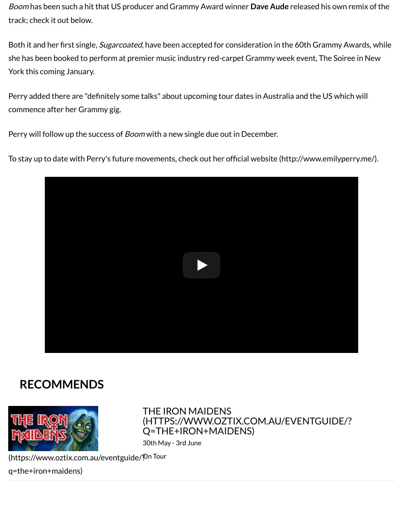York this coming January.

Perry added there are "definitely some talks" about upcoming tour dates in Australia and the US which will commence after her Grammy gig.

Perry will follow up the success of *Boom* with a new single due out in December.

To stay up to date with Perry's future movements, check out her official website (http://www.emily



### **RECOMMENDS**



#### THE IRON MAIDENS (HTTPS://WWW.OZTIX.COM.AU/EVENTGUIDE/? Q=THE+IRON+MAIDENS)

30th May - 3rd June

(https://www.oztix.com.au/eventguide/? On Tour

q=the+iron+maidens)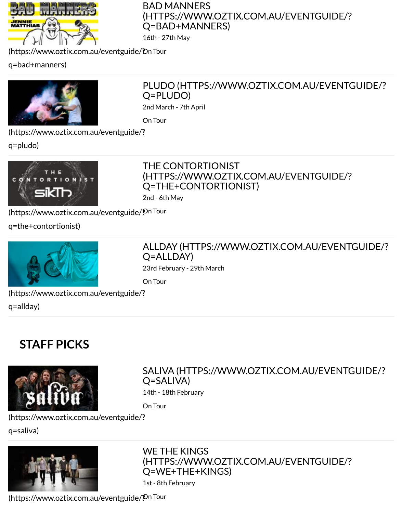

#### PLUDO (HTTPS://WWW.OZTIX.COM.AU/EVEN Q=PLUDO)

2nd March - 7th April

On Tour

[\(https://www.oztix.com.au/eventguide/?](https://www.oztix.com.au/eventguide/?q=bad+manners)

q=pludo)



#### [THE CONTORTIONIST](https://www.oztix.com.au/eventguide/?q=pludo) (HTTPS://WWW.OZTIX.COM.AU/EVENTGUIDE/? Q=THE+CONTORTIONIST)

2nd - 6th May

[\(https://www.oztix.com.au/eventguide/?](https://www.oztix.com.au/eventguide/?q=pludo) On Tour

q=the+contortionist)



ALLDAY (HTTPS://WWW.OZTIX.COM.AU/EVEN Q=ALLDAY)

23rd February - 29th March

On Tour

[\(https://www.oztix.com.au/eventguide/?](https://www.oztix.com.au/eventguide/?q=the+contortionist)

q=allday)

## **[STAFF PICKS](https://www.oztix.com.au/eventguide/?q=allday)**



#### SALIVA (HTTPS://WWW.OZTIX.COM.AU/EVEN Q=SALIVA)

14th - 18th February

On Tour

(https://www.oztix.com.au/eventguide/?

q=saliva)



#### [WE THE KINGS](https://www.oztix.com.au/eventguide/?q=saliva) (HTTPS://WWW.OZTIX.COM.AU/EVENTGUIDE/? Q=WE+THE+KINGS)

1st - 8th February

[\(https://www.oztix.com.au/eventguide/?](https://www.oztix.com.au/eventguide/?q=saliva) On Tour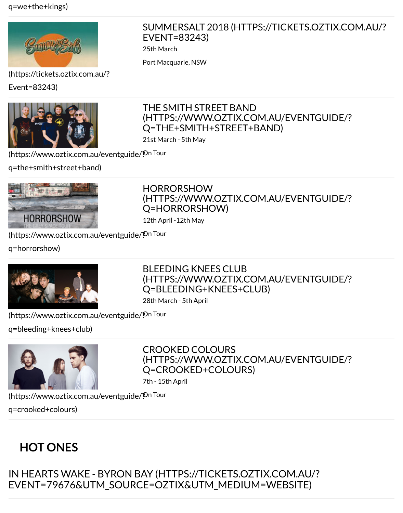[\(https://tickets.oztix.com.au/?](https://www.oztix.com.au/eventguide/?q=we+the+kings)

Event=83243)



#### [THE SMITH STREET BAND](https://tickets.oztix.com.au/?Event=83243) (HTTPS://WWW.OZTIX.COM.AU/EVENTGUIDE/? Q=THE+SMITH+STREET+BAND)

21st March - 5th May

[\(https://www.oztix.com.au/eve](https://tickets.oztix.com.au/?Event=83243)ntguide/? On Tour

q=the+smith+street+band)



HORRORSHOW [\(HTTPS://WWW.OZTIX.COM.AU/EVENTGUIDE/?](https://www.oztix.com.au/eventguide/?q=the+smith+street+band) Q=HORRORSHOW)

12th April -12th May

[\(https://www.oztix.com.au/eventguide/?](https://www.oztix.com.au/eventguide/?q=the+smith+street+band) On Tour

q=horrorshow)



#### BLEEDING KNEES CLUB [\(HTTPS://WWW.OZTIX.COM.AU/EVENTGUIDE/?](https://www.oztix.com.au/eventguide/?q=horrorshow) Q=BLEEDING+KNEES+CLUB)

28th March - 5th April

[\(https://www.oztix.com.au/eventguide/?](https://www.oztix.com.au/eventguide/?q=horrorshow) On Tour

q=bleeding+knees+club)



CROOKED COLOURS [\(HTTPS://WWW.OZTIX.COM.AU/EVENTGUIDE/?](https://www.oztix.com.au/eventguide/?q=bleeding+knees+club) Q=CROOKED+COLOURS)

7th - 15th April

[\(https://www.oztix.com.au/eventguide/?](https://www.oztix.com.au/eventguide/?q=bleeding+knees+club) On Tour q=crooked+colours)

## **HOT ONES**

[IN HEARTS WAKE - BYRON BA](https://www.oztix.com.au/eventguide/?q=crooked+colours)Y (HTTPS://TICKETS.OZTIX.COM.AU/? EVENT=79676&UTM\_SOURCE=OZTIX&UTM\_MEDIUM=WEBSITE)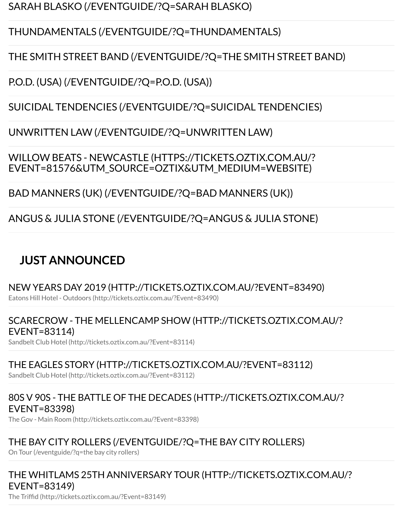P.O.D. (USA) [\(/EVENTGUIDE/?Q=P.O.D. \(USA\)\)](https://www.oztix.com.au/eventguide/?q=sarah%20blasko)

SUICIDAL TENDENCIES [\(/EVENTGUIDE/?Q=SUICIDAL TENDENCIES\)](https://www.oztix.com.au/eventguide/?q=thundamentals)

#### UNWRITTEN LAW [\(/EVENTGUIDE/?Q=UNWRITTEN LAW\)](https://www.oztix.com.au/eventguide/?q=the%20smith%20street%20band)

WILLOW BEATS - NEWCASTLE [\(HTTPS://TICKETS.OZTIX.COM.AU/?](https://www.oztix.com.au/eventguide/?q=p.o.d.%20(usa)) [EVENT=81576&UTM\\_SOURCE=OZTIX&UTM\\_MEDIUM=WEBSITE\)](https://www.oztix.com.au/eventguide/?q=suicidal%20tendencies)

BAD MANNERS (UK) [\(/EVENTGUIDE/?Q=BAD MANNERS \(UK\)\)](https://www.oztix.com.au/eventguide/?q=unwritten%20law)

ANGUS & JULIA STONE [\(/EVENTGUIDE/?Q=ANGUS & JULIA STONE\)](https://tickets.oztix.com.au/?Event=81576&utm_source=Oztix&utm_medium=Website)

### **[JUST ANNOUNCED](https://www.oztix.com.au/eventguide/?q=bad%20manners%20(uk))**

[NEW YEARS DAY 2019 \(HTTP://TICKETS.OZTIX.COM.AU/?EVENT=83490\)](https://www.oztix.com.au/eventguide/?q=angus%20&%20julia%20stone)

Eatons Hill Hotel - Outdoors (http://tickets.oztix.com.au/?Event=83490)

#### SCARECROW - THE MELLENCAMP SHOW (HTTP://TICKETS.OZTIX.COM.AU/? EVENT=83114)

Sandbelt Club Hotel (http://tickets.oztix.com.au/?Event=83114)

#### [THE EAGLES STORY \(HTTP://TICKETS.OZTIX.COM.AU/?EVENT=83112\)](http://tickets.oztix.com.au/?Event=83490)

Sandbelt Club Hotel (http://tickets.oztix.com.au/?Event=83112)

#### [80S V 90S - THE BATTLE OF THE DECADES \(HTTP://TICKETS.OZTIX.COM.AU/?](http://tickets.oztix.com.au/?Event=83114) EVENT=83398)

The Gov - Main Room (http://tickets.oztix.com.au/?Event=83398)

#### [THE BAY CITY ROLLERS \(/EVENTGUIDE/?Q=THE BAY CITY ROLLERS\)](http://tickets.oztix.com.au/?Event=83112)

On Tour (/eventguide/?q=the bay city rollers)

#### [THE WHITLAMS 25TH ANNIVERSARY TOUR \(HTTP://TICKETS.OZTIX.COM.AU](http://tickets.oztix.com.au/?Event=83398)/? EVENT=83149)

The Triffid (http://tickets.oztix.com.au/?Event=83149)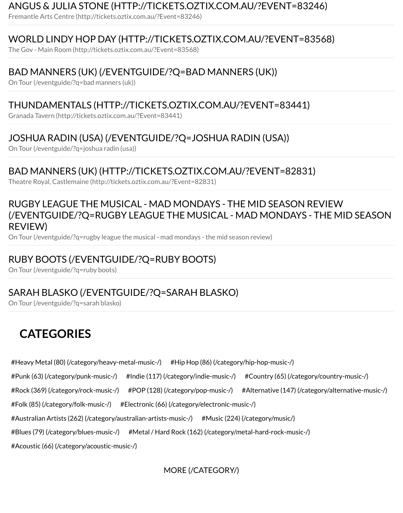#### [BAD MANNERS \(UK\) \(/EVENTGUIDE/?Q=BAD MANNERS \(UK\)\)](http://tickets.oztix.com.au/?Event=83246)

On Tour (/eventguide/?q=bad manners (uk))

#### [THUNDAMENTALS \(HTTP://TICKETS.OZTIX.COM.AU/?EVENT=83441\)](http://tickets.oztix.com.au/?Event=83568)

Granada Tavern (http://tickets.oztix.com.au/?Event=83441)

#### [JOSHUA RADIN \(USA\) \(/EVENTGUIDE/?Q=JOSHUA RADIN \(USA](https://www.oztix.com.au/eventguide/?q=bad%20manners%20(uk))))

On Tour (/eventguide/?q=joshua radin (usa))

#### [BAD MANNERS \(UK\) \(HTTP://TICKETS.OZTIX.COM.AU/?EVENT=82831](http://tickets.oztix.com.au/?Event=83441))

Theatre Royal, Castlemaine (http://tickets.oztix.com.au/?Event=82831)

#### [RUGBY LEAGUE THE MUSICAL - MAD MONDAYS - THE MID SEAS](https://www.oztix.com.au/eventguide/?q=joshua%20radin%20(usa))ON REVIEW (/EVENTGUIDE/?Q=RUGBY LEAGUE THE MUSICAL - MAD MONDAYS - THE M REVIEW)

On Tour [\(/eventguide/?q=rugby league the musical - mad mondays - the mid season review\)](http://tickets.oztix.com.au/?Event=82831)

#### RUBY BOOTS (/EVENTGUIDE/?Q=RUBY BOOTS)

On Tour (/eventguide/?q=ruby boots)

#### [SARAH BLASKO \(/EVENTGUIDE/?Q=SARAH BLASKO\)](https://www.oztix.com.au/eventguide/?q=rugby%20league%20the%20musical%20-%20mad%20mondays%20-%20the%20mid%20season%20review)

On Tour (/eventguide/?q=sarah blasko)

## **[CATEGORIES](https://www.oztix.com.au/eventguide/?q=ruby%20boots)**

[#Heavy Metal \(80\) \(/category/heavy-metal-music-/\)](https://www.oztix.com.au/eventguide/?q=sarah%20blasko) #Hip Hop (86) (/category/hip-hop-music-/)

#Punk (63) (/category/punk-music-/) #Indie (117) (/category/indie-music-/) #Country (65) (/category/country-music-/)

#Rock (369) (/category/rock-music-/) #POP (128) (/category/pop-music-/) #Alternative (147) (/category/alter

#Folk (85) (/category/folk-music-/) #Electronic (66) (/category/electronic-music-/)

#Australian Artists (262) (/category/australian-artists-music-/) #Music (224) (/category/music/)

[#Blues \(79\) \(/category/blues-music-/\)](https://www.oztix.com.au/category/heavy-metal-music-/) #Metal / Har[d Rock \(162\) \(/category/metal-hard-rock-mus](https://www.oztix.com.au/category/hip-hop-music-/)ic-/)

[#Acoustic \(66\) \(/category/acoustic-mu](https://www.oztix.com.au/category/punk-music-/)[sic-/\)](https://www.oztix.com.au/category/indie-music-/)

[MORE \(/CATEGORY/\)](https://www.oztix.com.au/category/electronic-music-/)